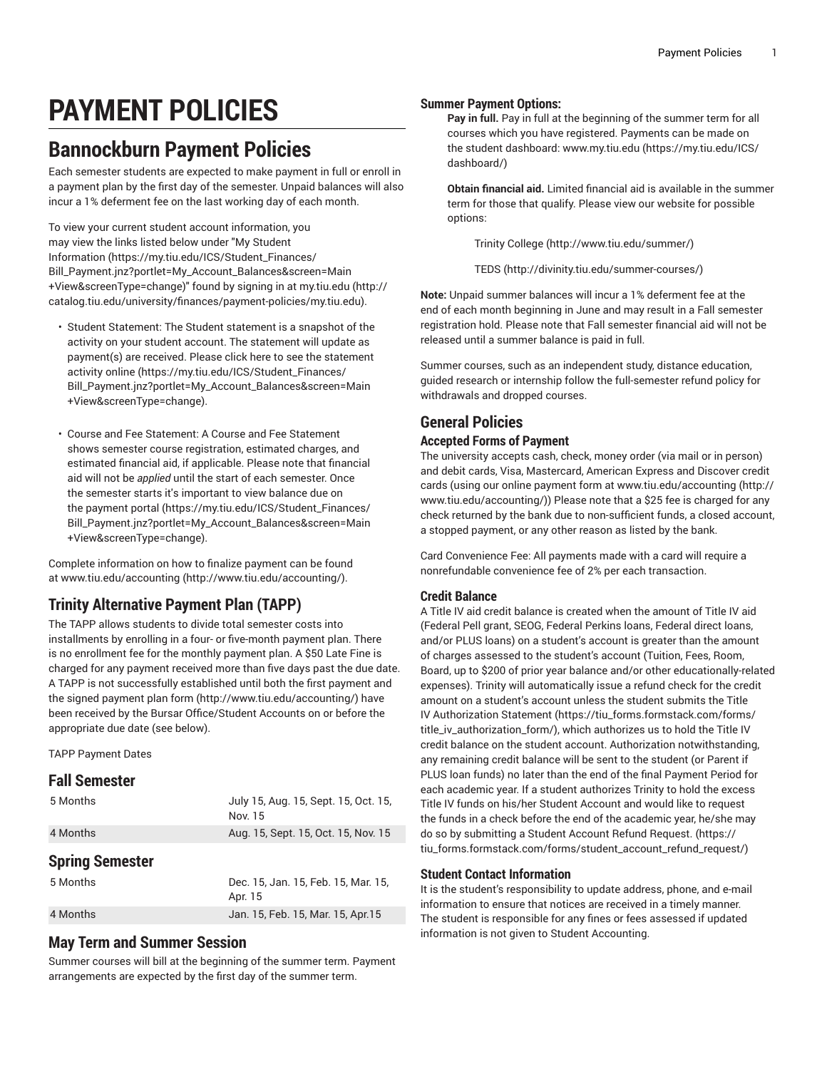# **PAYMENT POLICIES**

# **Bannockburn Payment Policies**

Each semester students are expected to make payment in full or enroll in a payment plan by the first day of the semester. Unpaid balances will also incur a 1% deferment fee on the last working day of each month.

To view your current student account information, you may view the links listed below under ["My Student](https://my.tiu.edu/ICS/Student_Finances/Bill_Payment.jnz?portlet=My_Account_Balances&screen=Main+View&screenType=change) [Information](https://my.tiu.edu/ICS/Student_Finances/Bill_Payment.jnz?portlet=My_Account_Balances&screen=Main+View&screenType=change) ([https://my.tiu.edu/ICS/Student\\_Finances/](https://my.tiu.edu/ICS/Student_Finances/Bill_Payment.jnz?portlet=My_Account_Balances&screen=Main+View&screenType=change) [Bill\\_Payment.jnz?portlet=My\\_Account\\_Balances&screen=Main](https://my.tiu.edu/ICS/Student_Finances/Bill_Payment.jnz?portlet=My_Account_Balances&screen=Main+View&screenType=change) [+View&screenType=change](https://my.tiu.edu/ICS/Student_Finances/Bill_Payment.jnz?portlet=My_Account_Balances&screen=Main+View&screenType=change))" found by signing in at [my.tiu.edu](http://catalog.tiu.edu/university/finances/payment-policies/my.tiu.edu) ([http://](http://catalog.tiu.edu/university/finances/payment-policies/my.tiu.edu) [catalog.tiu.edu/university/finances/payment-policies/my.tiu.edu](http://catalog.tiu.edu/university/finances/payment-policies/my.tiu.edu)).

- Student Statement: The Student statement is a snapshot of the activity on your student account. The statement will update as payment(s) are received. Please click here to see the [statement](https://my.tiu.edu/ICS/Student_Finances/Bill_Payment.jnz?portlet=My_Account_Balances&screen=Main+View&screenType=change) [activity online](https://my.tiu.edu/ICS/Student_Finances/Bill_Payment.jnz?portlet=My_Account_Balances&screen=Main+View&screenType=change) ([https://my.tiu.edu/ICS/Student\\_Finances/](https://my.tiu.edu/ICS/Student_Finances/Bill_Payment.jnz?portlet=My_Account_Balances&screen=Main+View&screenType=change) [Bill\\_Payment.jnz?portlet=My\\_Account\\_Balances&screen=Main](https://my.tiu.edu/ICS/Student_Finances/Bill_Payment.jnz?portlet=My_Account_Balances&screen=Main+View&screenType=change) [+View&screenType=change](https://my.tiu.edu/ICS/Student_Finances/Bill_Payment.jnz?portlet=My_Account_Balances&screen=Main+View&screenType=change)).
- Course and Fee Statement: A Course and Fee Statement shows semester course registration, estimated charges, and estimated financial aid, if applicable. Please note that financial aid will not be *applied* until the start of each semester. Once the semester starts it's important to view balance due on the [payment](https://my.tiu.edu/ICS/Student_Finances/Bill_Payment.jnz?portlet=My_Account_Balances&screen=Main+View&screenType=change) portal ([https://my.tiu.edu/ICS/Student\\_Finances/](https://my.tiu.edu/ICS/Student_Finances/Bill_Payment.jnz?portlet=My_Account_Balances&screen=Main+View&screenType=change) [Bill\\_Payment.jnz?portlet=My\\_Account\\_Balances&screen=Main](https://my.tiu.edu/ICS/Student_Finances/Bill_Payment.jnz?portlet=My_Account_Balances&screen=Main+View&screenType=change) [+View&screenType=change](https://my.tiu.edu/ICS/Student_Finances/Bill_Payment.jnz?portlet=My_Account_Balances&screen=Main+View&screenType=change)).

Complete information on how to finalize payment can be found at [www.tiu.edu/accounting](http://www.tiu.edu/accounting/) [\(http://www.tiu.edu/accounting/\)](http://www.tiu.edu/accounting/).

### **Trinity Alternative Payment Plan (TAPP)**

The TAPP allows students to divide total semester costs into installments by enrolling in a four- or five-month payment plan. There is no enrollment fee for the monthly payment plan. A \$50 Late Fine is charged for any payment received more than five days past the due date. A TAPP is not successfully established until both the first payment and the signed [payment](http://www.tiu.edu/accounting/) plan form [\(http://www.tiu.edu/accounting/\)](http://www.tiu.edu/accounting/) have been received by the Bursar Office/Student Accounts on or before the appropriate due date (see below).

TAPP Payment Dates

### **Fall Semester**

| 5 Months               | July 15, Aug. 15, Sept. 15, Oct. 15,<br>Nov. 15 |
|------------------------|-------------------------------------------------|
| 4 Months               | Aug. 15, Sept. 15, Oct. 15, Nov. 15             |
| <b>Spring Semester</b> |                                                 |
| 5 Months               | Dec. 15, Jan. 15, Feb. 15, Mar. 15,<br>Apr. 15  |
| 4 Months               | Jan. 15, Feb. 15, Mar. 15, Apr. 15              |

### **May Term and Summer Session**

Summer courses will bill at the beginning of the summer term. Payment arrangements are expected by the first day of the summer term.

#### **Summer Payment Options:**

**Pay in full.** Pay in full at the beginning of the summer term for all courses which you have registered. Payments can be made on the student dashboard: [www.my.tiu.edu \(https://my.tiu.edu/ICS/](https://my.tiu.edu/ICS/dashboard/) [dashboard/](https://my.tiu.edu/ICS/dashboard/))

**Obtain financial aid.** Limited financial aid is available in the summer term for those that qualify. Please view our website for possible options:

Trinity [College \(http://www.tiu.edu/summer/](http://www.tiu.edu/summer/))

[TEDS](http://divinity.tiu.edu/summer-courses/) (<http://divinity.tiu.edu/summer-courses/>)

**Note:** Unpaid summer balances will incur a 1% deferment fee at the end of each month beginning in June and may result in a Fall semester registration hold. Please note that Fall semester financial aid will not be released until a summer balance is paid in full.

Summer courses, such as an independent study, distance education, guided research or internship follow the full-semester refund policy for withdrawals and dropped courses.

### **General Policies Accepted Forms of Payment**

The university accepts cash, check, money order (via mail or in person) and debit cards, Visa, Mastercard, American Express and Discover credit cards (using our online payment form at [www.tiu.edu/accounting](http://www.tiu.edu/accounting/) ([http://](http://www.tiu.edu/accounting/) [www.tiu.edu/accounting/\)](http://www.tiu.edu/accounting/)) Please note that a \$25 fee is charged for any check returned by the bank due to non-sufficient funds, a closed account, a stopped payment, or any other reason as listed by the bank.

Card Convenience Fee: All payments made with a card will require a nonrefundable convenience fee of 2% per each transaction.

### **Credit Balance**

A Title IV aid credit balance is created when the amount of Title IV aid (Federal Pell grant, SEOG, Federal Perkins loans, Federal direct loans, and/or PLUS loans) on a student's account is greater than the amount of charges assessed to the student's account (Tuition, Fees, Room, Board, up to \$200 of prior year balance and/or other educationally-related expenses). Trinity will automatically issue a refund check for the credit amount on a student's account unless the student submits the [Title](https://tiu_forms.formstack.com/forms/title_iv_authorization_form/) [IV Authorization Statement](https://tiu_forms.formstack.com/forms/title_iv_authorization_form/) ([https://tiu\\_forms.formstack.com/forms/](https://tiu_forms.formstack.com/forms/title_iv_authorization_form/) [title\\_iv\\_authorization\\_form/](https://tiu_forms.formstack.com/forms/title_iv_authorization_form/)), which authorizes us to hold the Title IV credit balance on the student account. Authorization notwithstanding, any remaining credit balance will be sent to the student (or Parent if PLUS loan funds) no later than the end of the final Payment Period for each academic year. If a student authorizes Trinity to hold the excess Title IV funds on his/her Student Account and would like to request the funds in a check before the end of the academic year, he/she may do so by submitting a [Student Account Refund Request.](https://tiu_forms.formstack.com/forms/student_account_refund_request/) ([https://](https://tiu_forms.formstack.com/forms/student_account_refund_request/) [tiu\\_forms.formstack.com/forms/student\\_account\\_refund\\_request/\)](https://tiu_forms.formstack.com/forms/student_account_refund_request/)

#### **Student Contact Information**

It is the student's responsibility to update address, phone, and e-mail information to ensure that notices are received in a timely manner. The student is responsible for any fines or fees assessed if updated information is not given to Student Accounting.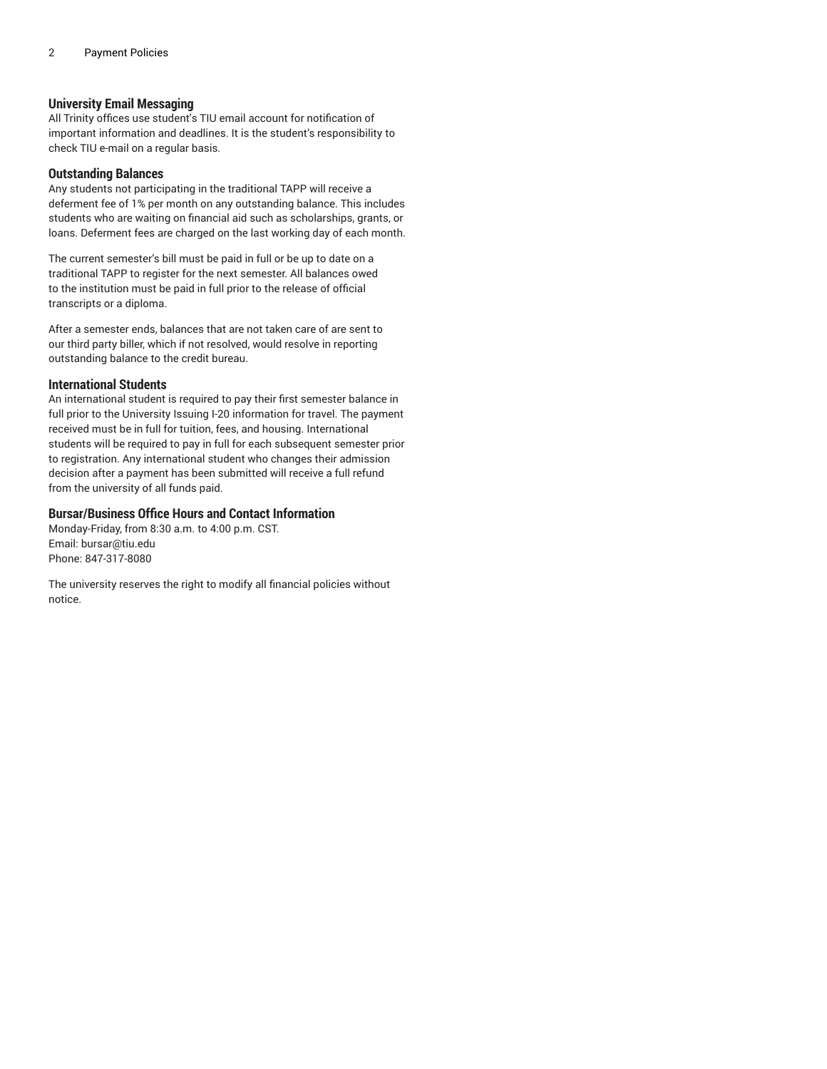#### **University Email Messaging**

All Trinity offices use student's TIU email account for notification of important information and deadlines. It is the student's responsibility to check TIU e-mail on a regular basis.

#### **Outstanding Balances**

Any students not participating in the traditional TAPP will receive a deferment fee of 1% per month on any outstanding balance. This includes students who are waiting on financial aid such as scholarships, grants, or loans. Deferment fees are charged on the last working day of each month.

The current semester's bill must be paid in full or be up to date on a traditional TAPP to register for the next semester. All balances owed to the institution must be paid in full prior to the release of official transcripts or a diploma.

After a semester ends, balances that are not taken care of are sent to our third party biller, which if not resolved, would resolve in reporting outstanding balance to the credit bureau.

#### **International Students**

An international student is required to pay their first semester balance in full prior to the University Issuing I-20 information for travel. The payment received must be in full for tuition, fees, and housing. International students will be required to pay in full for each subsequent semester prior to registration. Any international student who changes their admission decision after a payment has been submitted will receive a full refund from the university of all funds paid.

#### **Bursar/Business Office Hours and Contact Information**

Monday-Friday, from 8:30 a.m. to 4:00 p.m. CST. Email: [bursar@tiu.edu](mailto: bursar@tiu.edu) Phone: 847-317-8080

The university reserves the right to modify all financial policies without notice.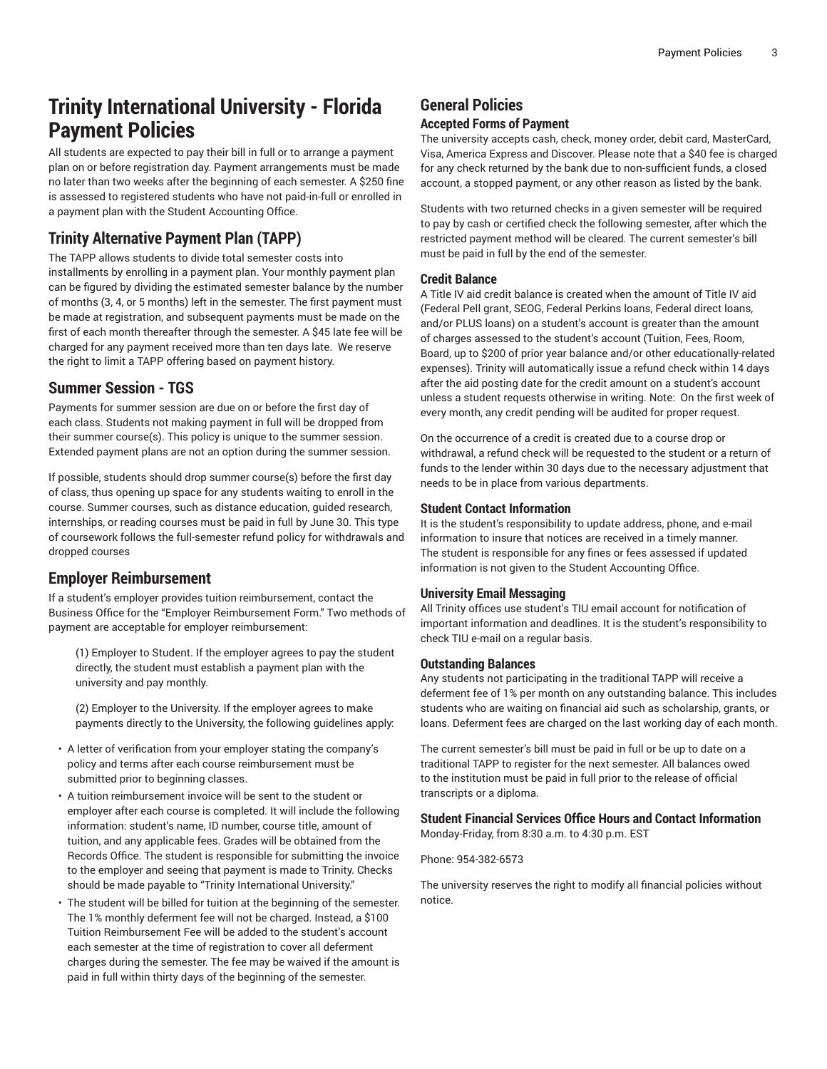# **Trinity International University - Florida Payment Policies**

All students are expected to pay their bill in full or to arrange a payment plan on or before registration day. Payment arrangements must be made no later than two weeks after the beginning of each semester. A \$250 fine is assessed to registered students who have not paid-in-full or enrolled in a payment plan with the Student Accounting Office.

### **Trinity Alternative Payment Plan (TAPP)**

The TAPP allows students to divide total semester costs into installments by enrolling in a payment plan. Your monthly payment plan can be figured by dividing the estimated semester balance by the number of months (3, 4, or 5 months) left in the semester. The first payment must be made at registration, and subsequent payments must be made on the first of each month thereafter through the semester. A \$45 late fee will be charged for any payment received more than ten days late. We reserve the right to limit a TAPP offering based on payment history.

### **Summer Session - TGS**

Payments for summer session are due on or before the first day of each class. Students not making payment in full will be dropped from their summer course(s). This policy is unique to the summer session. Extended payment plans are not an option during the summer session.

If possible, students should drop summer course(s) before the first day of class, thus opening up space for any students waiting to enroll in the course. Summer courses, such as distance education, guided research, internships, or reading courses must be paid in full by June 30. This type of coursework follows the full-semester refund policy for withdrawals and dropped courses

### **Employer Reimbursement**

If a student's employer provides tuition reimbursement, contact the Business Office for the "Employer Reimbursement Form." Two methods of payment are acceptable for employer reimbursement:

(1) Employer to Student. If the employer agrees to pay the student directly, the student must establish a payment plan with the university and pay monthly.

(2) Employer to the University. If the employer agrees to make payments directly to the University, the following guidelines apply:

- A letter of verification from your employer stating the company's policy and terms after each course reimbursement must be submitted prior to beginning classes.
- A tuition reimbursement invoice will be sent to the student or employer after each course is completed. It will include the following information: student's name, ID number, course title, amount of tuition, and any applicable fees. Grades will be obtained from the Records Office. The student is responsible for submitting the invoice to the employer and seeing that payment is made to Trinity. Checks should be made payable to "Trinity International University."
- The student will be billed for tuition at the beginning of the semester. The 1% monthly deferment fee will not be charged. Instead, a \$100 Tuition Reimbursement Fee will be added to the student's account each semester at the time of registration to cover all deferment charges during the semester. The fee may be waived if the amount is paid in full within thirty days of the beginning of the semester.

### **General Policies**

### **Accepted Forms of Payment**

The university accepts cash, check, money order, debit card, MasterCard, Visa, America Express and Discover. Please note that a \$40 fee is charged for any check returned by the bank due to non-sufficient funds, a closed account, a stopped payment, or any other reason as listed by the bank.

Students with two returned checks in a given semester will be required to pay by cash or certified check the following semester, after which the restricted payment method will be cleared. The current semester's bill must be paid in full by the end of the semester.

### **Credit Balance**

A Title IV aid credit balance is created when the amount of Title IV aid (Federal Pell grant, SEOG, Federal Perkins loans, Federal direct loans, and/or PLUS loans) on a student's account is greater than the amount of charges assessed to the student's account (Tuition, Fees, Room, Board, up to \$200 of prior year balance and/or other educationally-related expenses). Trinity will automatically issue a refund check within 14 days after the aid posting date for the credit amount on a student's account unless a student requests otherwise in writing. Note: On the first week of every month, any credit pending will be audited for proper request.

On the occurrence of a credit is created due to a course drop or withdrawal, a refund check will be requested to the student or a return of funds to the lender within 30 days due to the necessary adjustment that needs to be in place from various departments.

### **Student Contact Information**

It is the student's responsibility to update address, phone, and e-mail information to insure that notices are received in a timely manner. The student is responsible for any fines or fees assessed if updated information is not given to the Student Accounting Office.

### **University Email Messaging**

All Trinity offices use student's TIU email account for notification of important information and deadlines. It is the student's responsibility to check TIU e-mail on a regular basis.

### **Outstanding Balances**

Any students not participating in the traditional TAPP will receive a deferment fee of 1% per month on any outstanding balance. This includes students who are waiting on financial aid such as scholarship, grants, or loans. Deferment fees are charged on the last working day of each month.

The current semester's bill must be paid in full or be up to date on a traditional TAPP to register for the next semester. All balances owed to the institution must be paid in full prior to the release of official transcripts or a diploma.

#### **Student Financial Services Office Hours and Contact Information** Monday-Friday, from 8:30 a.m. to 4:30 p.m. EST

Phone: 954-382-6573

The university reserves the right to modify all financial policies without notice.